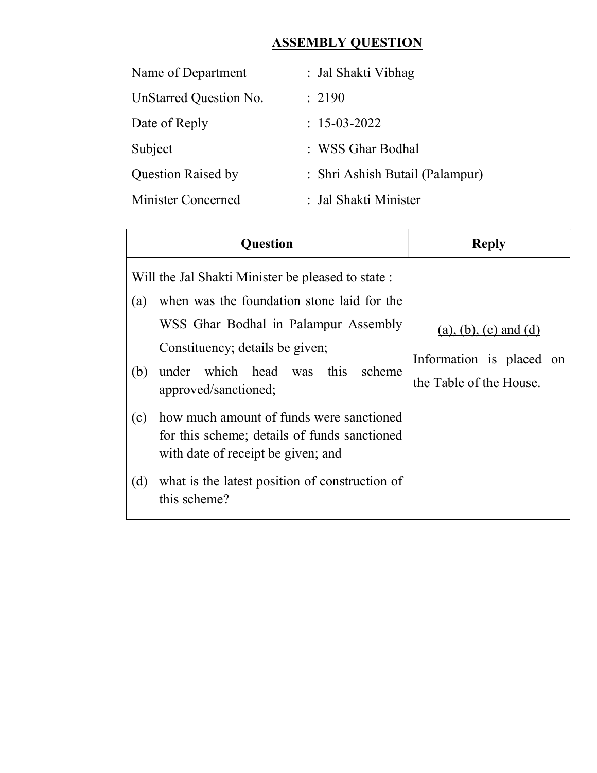## **ASSEMBLY QUESTION**

| Name of Department        | : Jal Shakti Vibhag             |
|---------------------------|---------------------------------|
| UnStarred Question No.    | : 2190                          |
| Date of Reply             | $: 15-03-2022$                  |
| Subject                   | : WSS Ghar Bodhal               |
| <b>Question Raised by</b> | : Shri Ashish Butail (Palampur) |
| Minister Concerned        | : Jal Shakti Minister           |

| Ouestion                                                                                                                                                                                                                                                                                                                                                                                                                                                                      | <b>Reply</b>                                                                     |  |  |  |  |
|-------------------------------------------------------------------------------------------------------------------------------------------------------------------------------------------------------------------------------------------------------------------------------------------------------------------------------------------------------------------------------------------------------------------------------------------------------------------------------|----------------------------------------------------------------------------------|--|--|--|--|
| Will the Jal Shakti Minister be pleased to state :<br>when was the foundation stone laid for the<br>(a)<br>WSS Ghar Bodhal in Palampur Assembly<br>Constituency; details be given;<br>which head was this<br>scheme<br>under<br>(b)<br>approved/sanctioned;<br>how much amount of funds were sanctioned<br>(c)<br>for this scheme; details of funds sanctioned<br>with date of receipt be given; and<br>what is the latest position of construction of<br>(d)<br>this scheme? | $(a), (b), (c)$ and $(d)$<br>Information is placed on<br>the Table of the House. |  |  |  |  |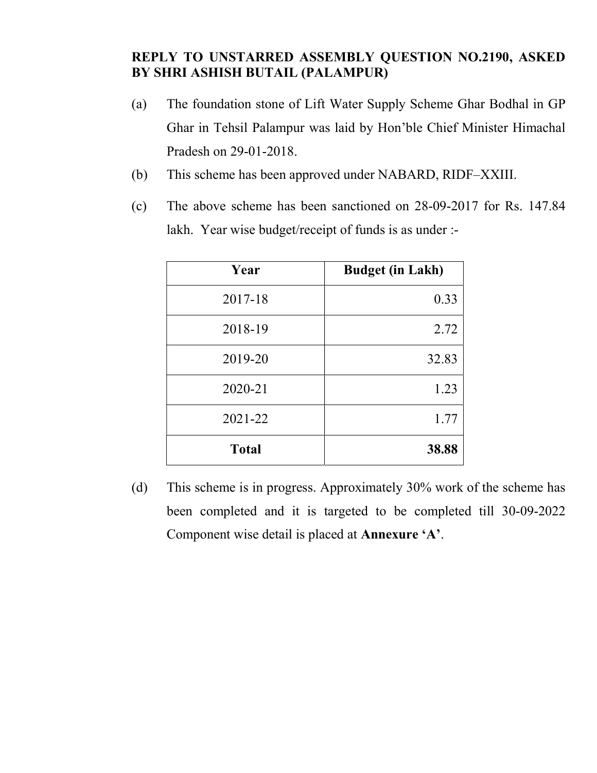## REPLY TO UNSTARRED ASSEMBLY QUESTION NO.2190, ASKED BY SHRI ASHISH BUTAIL (PALAMPUR)

- (a) The foundation stone of Lift Water Supply Scheme Ghar Bodhal in GP Ghar in Tehsil Palampur was laid by Hon'ble Chief Minister Himachal Pradesh on 29-01-2018.
- (b) This scheme has been approved under NABARD, RIDF–XXIII.
- (c) The above scheme has been sanctioned on 28-09-2017 for Rs. 147.84 lakh. Year wise budget/receipt of funds is as under :-

| Year         | <b>Budget (in Lakh)</b> |
|--------------|-------------------------|
| 2017-18      | 0.33                    |
| 2018-19      | 2.72                    |
| 2019-20      | 32.83                   |
| 2020-21      | 1.23                    |
| 2021-22      | 1.77                    |
| <b>Total</b> | 38.88                   |

(d) This scheme is in progress. Approximately 30% work of the scheme has been completed and it is targeted to be completed till 30-09-2022 Component wise detail is placed at Annexure 'A'.